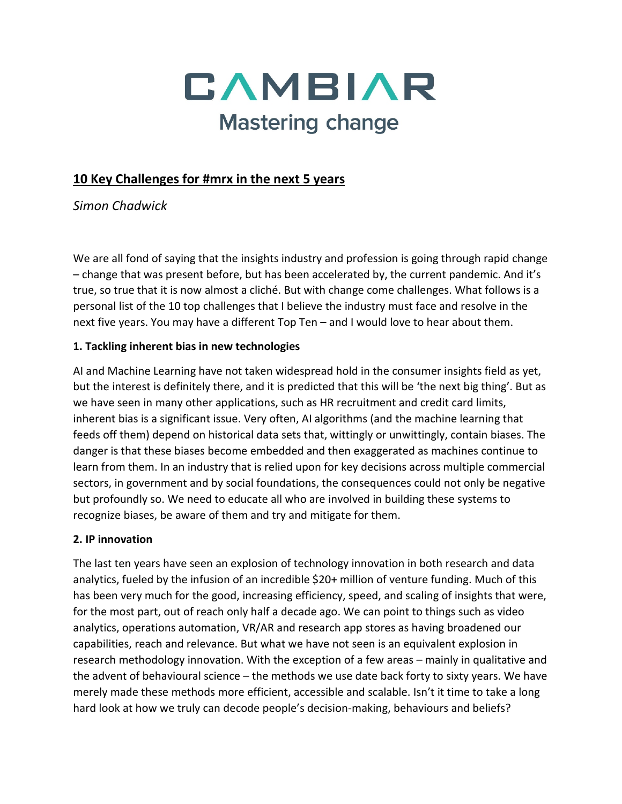

# **10 Key Challenges for #mrx in the next 5 years**

## *Simon Chadwick*

We are all fond of saying that the insights industry and profession is going through rapid change – change that was present before, but has been accelerated by, the current pandemic. And it's true, so true that it is now almost a cliché. But with change come challenges. What follows is a personal list of the 10 top challenges that I believe the industry must face and resolve in the next five years. You may have a different Top Ten – and I would love to hear about them.

### **1. Tackling inherent bias in new technologies**

AI and Machine Learning have not taken widespread hold in the consumer insights field as yet, but the interest is definitely there, and it is predicted that this will be 'the next big thing'. But as we have seen in many other applications, such as HR recruitment and credit card limits, inherent bias is a significant issue. Very often, AI algorithms (and the machine learning that feeds off them) depend on historical data sets that, wittingly or unwittingly, contain biases. The danger is that these biases become embedded and then exaggerated as machines continue to learn from them. In an industry that is relied upon for key decisions across multiple commercial sectors, in government and by social foundations, the consequences could not only be negative but profoundly so. We need to educate all who are involved in building these systems to recognize biases, be aware of them and try and mitigate for them.

### **2. IP innovation**

The last ten years have seen an explosion of technology innovation in both research and data analytics, fueled by the infusion of an incredible \$20+ million of venture funding. Much of this has been very much for the good, increasing efficiency, speed, and scaling of insights that were, for the most part, out of reach only half a decade ago. We can point to things such as video analytics, operations automation, VR/AR and research app stores as having broadened our capabilities, reach and relevance. But what we have not seen is an equivalent explosion in research methodology innovation. With the exception of a few areas – mainly in qualitative and the advent of behavioural science – the methods we use date back forty to sixty years. We have merely made these methods more efficient, accessible and scalable. Isn't it time to take a long hard look at how we truly can decode people's decision-making, behaviours and beliefs?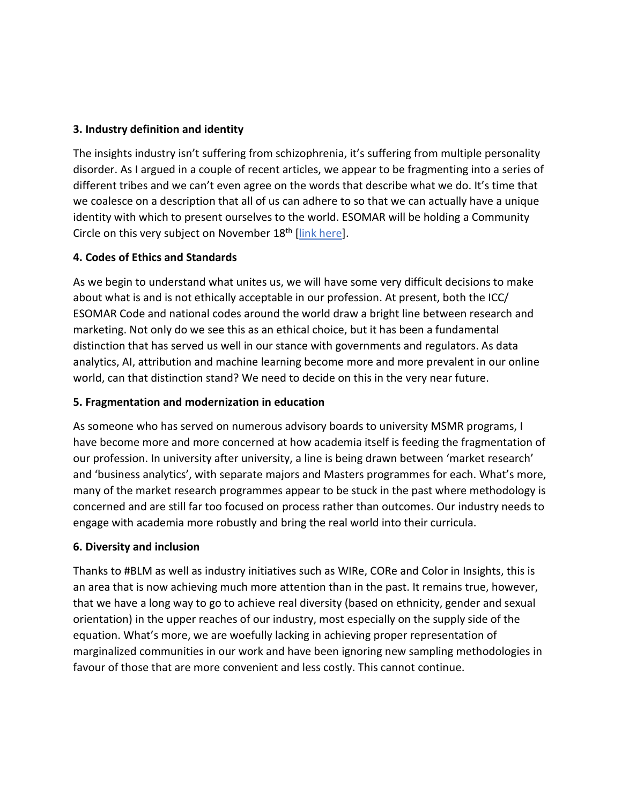### **3. Industry definition and identity**

The insights industry isn't suffering from schizophrenia, it's suffering from multiple personality disorder. As I argued in a couple of recent articles, we appear to be fragmenting into a series of different tribes and we can't even agree on the words that describe what we do. It's time that we coalesce on a description that all of us can adhere to so that we can actually have a unique identity with which to present ourselves to the world. ESOMAR will be holding a Community Circle on this very subject on November 18<sup>th</sup> [link here].

### **4. Codes of Ethics and Standards**

As we begin to understand what unites us, we will have some very difficult decisions to make about what is and is not ethically acceptable in our profession. At present, both the ICC/ ESOMAR Code and national codes around the world draw a bright line between research and marketing. Not only do we see this as an ethical choice, but it has been a fundamental distinction that has served us well in our stance with governments and regulators. As data analytics, AI, attribution and machine learning become more and more prevalent in our online world, can that distinction stand? We need to decide on this in the very near future.

### **5. Fragmentation and modernization in education**

As someone who has served on numerous advisory boards to university MSMR programs, I have become more and more concerned at how academia itself is feeding the fragmentation of our profession. In university after university, a line is being drawn between 'market research' and 'business analytics', with separate majors and Masters programmes for each. What's more, many of the market research programmes appear to be stuck in the past where methodology is concerned and are still far too focused on process rather than outcomes. Our industry needs to engage with academia more robustly and bring the real world into their curricula.

### **6. Diversity and inclusion**

Thanks to #BLM as well as industry initiatives such as WIRe, CORe and Color in Insights, this is an area that is now achieving much more attention than in the past. It remains true, however, that we have a long way to go to achieve real diversity (based on ethnicity, gender and sexual orientation) in the upper reaches of our industry, most especially on the supply side of the equation. What's more, we are woefully lacking in achieving proper representation of marginalized communities in our work and have been ignoring new sampling methodologies in favour of those that are more convenient and less costly. This cannot continue.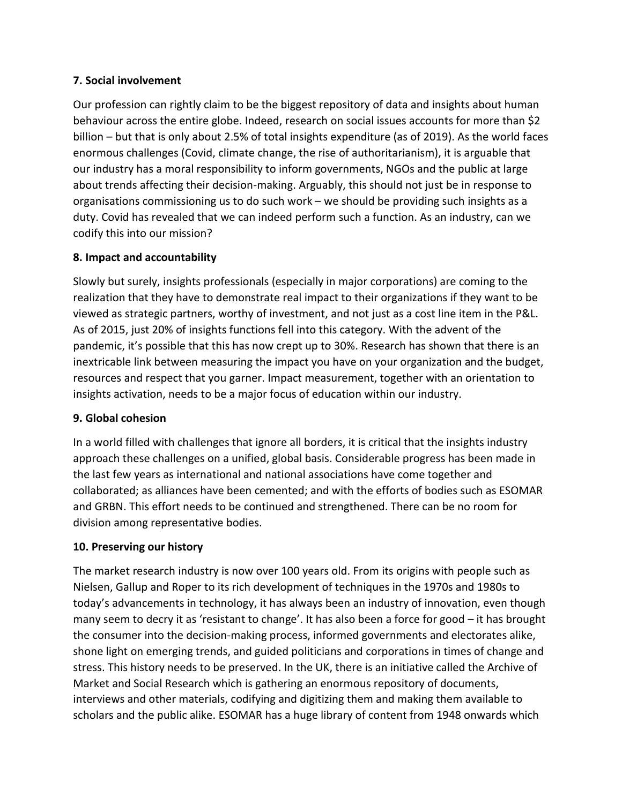### **7. Social involvement**

Our profession can rightly claim to be the biggest repository of data and insights about human behaviour across the entire globe. Indeed, research on social issues accounts for more than \$2 billion – but that is only about 2.5% of total insights expenditure (as of 2019). As the world faces enormous challenges (Covid, climate change, the rise of authoritarianism), it is arguable that our industry has a moral responsibility to inform governments, NGOs and the public at large about trends affecting their decision-making. Arguably, this should not just be in response to organisations commissioning us to do such work – we should be providing such insights as a duty. Covid has revealed that we can indeed perform such a function. As an industry, can we codify this into our mission?

### **8. Impact and accountability**

Slowly but surely, insights professionals (especially in major corporations) are coming to the realization that they have to demonstrate real impact to their organizations if they want to be viewed as strategic partners, worthy of investment, and not just as a cost line item in the P&L. As of 2015, just 20% of insights functions fell into this category. With the advent of the pandemic, it's possible that this has now crept up to 30%. Research has shown that there is an inextricable link between measuring the impact you have on your organization and the budget, resources and respect that you garner. Impact measurement, together with an orientation to insights activation, needs to be a major focus of education within our industry.

### **9. Global cohesion**

In a world filled with challenges that ignore all borders, it is critical that the insights industry approach these challenges on a unified, global basis. Considerable progress has been made in the last few years as international and national associations have come together and collaborated; as alliances have been cemented; and with the efforts of bodies such as ESOMAR and GRBN. This effort needs to be continued and strengthened. There can be no room for division among representative bodies.

### **10. Preserving our history**

The market research industry is now over 100 years old. From its origins with people such as Nielsen, Gallup and Roper to its rich development of techniques in the 1970s and 1980s to today's advancements in technology, it has always been an industry of innovation, even though many seem to decry it as 'resistant to change'. It has also been a force for good – it has brought the consumer into the decision-making process, informed governments and electorates alike, shone light on emerging trends, and guided politicians and corporations in times of change and stress. This history needs to be preserved. In the UK, there is an initiative called the Archive of Market and Social Research which is gathering an enormous repository of documents, interviews and other materials, codifying and digitizing them and making them available to scholars and the public alike. ESOMAR has a huge library of content from 1948 onwards which